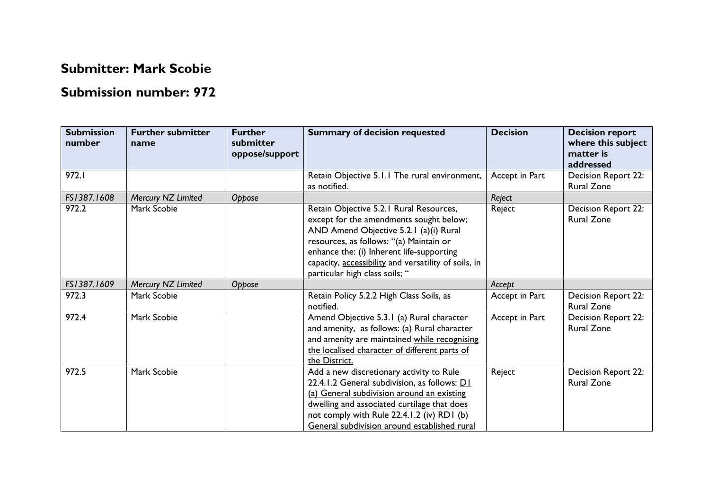## **Submitter: Mark Scobie**

## **Submission number: 972**

| <b>Submission</b><br>number | <b>Further submitter</b><br>name | <b>Further</b><br>submitter<br>oppose/support | <b>Summary of decision requested</b>                                                                                                                                                                                                                                                                           | <b>Decision</b> | <b>Decision report</b><br>where this subject<br>matter is<br>addressed |
|-----------------------------|----------------------------------|-----------------------------------------------|----------------------------------------------------------------------------------------------------------------------------------------------------------------------------------------------------------------------------------------------------------------------------------------------------------------|-----------------|------------------------------------------------------------------------|
| 972.I                       |                                  |                                               | Retain Objective 5.1.1 The rural environment,<br>as notified.                                                                                                                                                                                                                                                  | Accept in Part  | Decision Report 22:<br><b>Rural Zone</b>                               |
| FS1387.1608                 | Mercury NZ Limited               | Oppose                                        |                                                                                                                                                                                                                                                                                                                | Reject          |                                                                        |
| 972.2                       | Mark Scobie                      |                                               | Retain Objective 5.2.1 Rural Resources,<br>except for the amendments sought below;<br>AND Amend Objective 5.2.1 (a)(i) Rural<br>resources, as follows: "(a) Maintain or<br>enhance the: (i) Inherent life-supporting<br>capacity, accessibility and versatility of soils, in<br>particular high class soils; " | Reject          | Decision Report 22:<br><b>Rural Zone</b>                               |
| FS1387.1609                 | Mercury NZ Limited               | Oppose                                        |                                                                                                                                                                                                                                                                                                                | Accept          |                                                                        |
| 972.3                       | Mark Scobie                      |                                               | Retain Policy 5.2.2 High Class Soils, as<br>notified.                                                                                                                                                                                                                                                          | Accept in Part  | Decision Report 22:<br><b>Rural Zone</b>                               |
| 972.4                       | Mark Scobie                      |                                               | Amend Objective 5.3.1 (a) Rural character<br>and amenity, as follows: (a) Rural character<br>and amenity are maintained while recognising<br>the localised character of different parts of<br>the District.                                                                                                    | Accept in Part  | Decision Report 22:<br><b>Rural Zone</b>                               |
| 972.5                       | Mark Scobie                      |                                               | Add a new discretionary activity to Rule<br>22.4.1.2 General subdivision, as follows: D1<br>(a) General subdivision around an existing<br>dwelling and associated curtilage that does<br>not comply with Rule 22.4.1.2 (iv) RD1 (b)<br>General subdivision around established rural                            | Reject          | Decision Report 22:<br><b>Rural Zone</b>                               |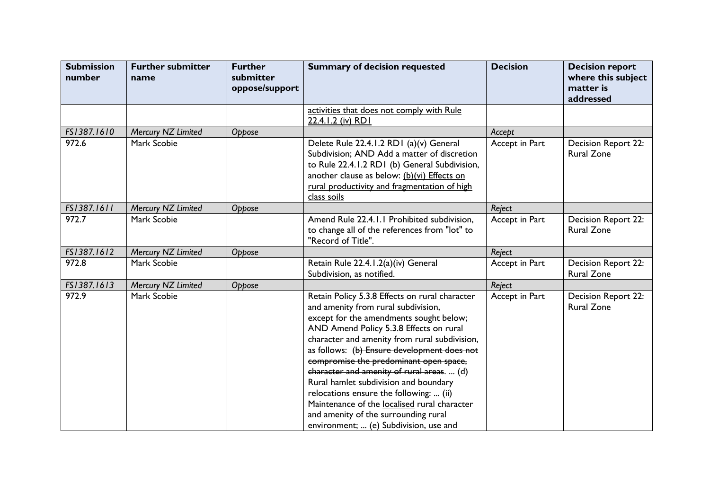| <b>Submission</b><br>number | <b>Further submitter</b><br>name | <b>Further</b><br>submitter<br>oppose/support | <b>Summary of decision requested</b>                                                                                                                                                                                                                                                                                                                                                                                                                                                                                                                                                      | <b>Decision</b> | <b>Decision report</b><br>where this subject<br>matter is<br>addressed |
|-----------------------------|----------------------------------|-----------------------------------------------|-------------------------------------------------------------------------------------------------------------------------------------------------------------------------------------------------------------------------------------------------------------------------------------------------------------------------------------------------------------------------------------------------------------------------------------------------------------------------------------------------------------------------------------------------------------------------------------------|-----------------|------------------------------------------------------------------------|
|                             |                                  |                                               | activities that does not comply with Rule<br>22.4.1.2 (iv) RD1                                                                                                                                                                                                                                                                                                                                                                                                                                                                                                                            |                 |                                                                        |
| FS1387.1610                 | Mercury NZ Limited               | Oppose                                        |                                                                                                                                                                                                                                                                                                                                                                                                                                                                                                                                                                                           | Accept          |                                                                        |
| 972.6                       | Mark Scobie                      |                                               | Delete Rule 22.4.1.2 RD1 (a)(v) General<br>Subdivision; AND Add a matter of discretion<br>to Rule 22.4.1.2 RD1 (b) General Subdivision,<br>another clause as below: (b)(vi) Effects on<br>rural productivity and fragmentation of high<br>class soils                                                                                                                                                                                                                                                                                                                                     | Accept in Part  | Decision Report 22:<br><b>Rural Zone</b>                               |
| FS1387.1611                 | Mercury NZ Limited               | Oppose                                        |                                                                                                                                                                                                                                                                                                                                                                                                                                                                                                                                                                                           | Reject          |                                                                        |
| 972.7                       | Mark Scobie                      |                                               | Amend Rule 22.4.1.1 Prohibited subdivision,<br>to change all of the references from "lot" to<br>"Record of Title".                                                                                                                                                                                                                                                                                                                                                                                                                                                                        | Accept in Part  | <b>Decision Report 22:</b><br><b>Rural Zone</b>                        |
| FS1387.1612                 | Mercury NZ Limited               | Oppose                                        |                                                                                                                                                                                                                                                                                                                                                                                                                                                                                                                                                                                           | Reject          |                                                                        |
| 972.8                       | Mark Scobie                      |                                               | Retain Rule 22.4.1.2(a)(iv) General<br>Subdivision, as notified.                                                                                                                                                                                                                                                                                                                                                                                                                                                                                                                          | Accept in Part  | Decision Report 22:<br>Rural Zone                                      |
| FS1387.1613                 | Mercury NZ Limited               | Oppose                                        |                                                                                                                                                                                                                                                                                                                                                                                                                                                                                                                                                                                           | Reject          |                                                                        |
| 972.9                       | Mark Scobie                      |                                               | Retain Policy 5.3.8 Effects on rural character<br>and amenity from rural subdivision,<br>except for the amendments sought below;<br>AND Amend Policy 5.3.8 Effects on rural<br>character and amenity from rural subdivision,<br>as follows: (b) Ensure development does not<br>compromise the predominant open space,<br>character and amenity of rural areas.  (d)<br>Rural hamlet subdivision and boundary<br>relocations ensure the following:  (ii)<br>Maintenance of the localised rural character<br>and amenity of the surrounding rural<br>environment;  (e) Subdivision, use and | Accept in Part  | Decision Report 22:<br><b>Rural Zone</b>                               |